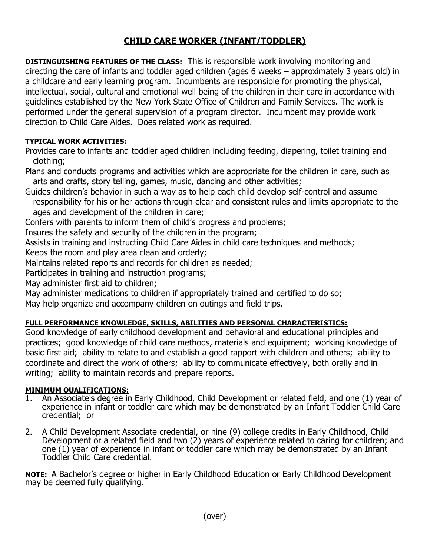## CHILD CARE WORKER (INFANT/TODDLER)

**DISTINGUISHING FEATURES OF THE CLASS:** This is responsible work involving monitoring and directing the care of infants and toddler aged children (ages 6 weeks – approximately 3 years old) in a childcare and early learning program. Incumbents are responsible for promoting the physical, intellectual, social, cultural and emotional well being of the children in their care in accordance with guidelines established by the New York State Office of Children and Family Services. The work is performed under the general supervision of a program director. Incumbent may provide work direction to Child Care Aides. Does related work as required.

## TYPICAL WORK ACTIVITIES:

Provides care to infants and toddler aged children including feeding, diapering, toilet training and clothing;

Plans and conducts programs and activities which are appropriate for the children in care, such as arts and crafts, story telling, games, music, dancing and other activities;

Guides children's behavior in such a way as to help each child develop self-control and assume responsibility for his or her actions through clear and consistent rules and limits appropriate to the ages and development of the children in care;

Confers with parents to inform them of child's progress and problems;

Insures the safety and security of the children in the program;

Assists in training and instructing Child Care Aides in child care techniques and methods;

Keeps the room and play area clean and orderly;

Maintains related reports and records for children as needed;

Participates in training and instruction programs;

May administer first aid to children;

May administer medications to children if appropriately trained and certified to do so;

May help organize and accompany children on outings and field trips.

## FULL PERFORMANCE KNOWLEDGE, SKILLS, ABILITIES AND PERSONAL CHARACTERISTICS:

Good knowledge of early childhood development and behavioral and educational principles and practices; good knowledge of child care methods, materials and equipment; working knowledge of basic first aid; ability to relate to and establish a good rapport with children and others; ability to coordinate and direct the work of others; ability to communicate effectively, both orally and in writing; ability to maintain records and prepare reports.

## MINIMUM QUALIFICATIONS:

- 1. An Associate's degree in Early Childhood, Child Development or related field, and one (1) year of experience in infant or toddler care which may be demonstrated by an Infant Toddler Child Care credential; or
- 2. A Child Development Associate credential, or nine (9) college credits in Early Childhood, Child Development or a related field and two (2) years of experience related to caring for children; and one (1) year of experience in infant or toddler care which may be demonstrated by an Infant Toddler Child Care credential.

NOTE: A Bachelor's degree or higher in Early Childhood Education or Early Childhood Development may be deemed fully qualifying.